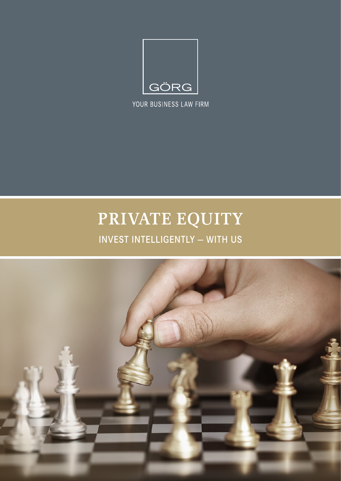

YOUR BUSINESS LAW FIRM

# **PRIVATE EQUITY**

# INVEST INTELLIGENTLY — WITH US

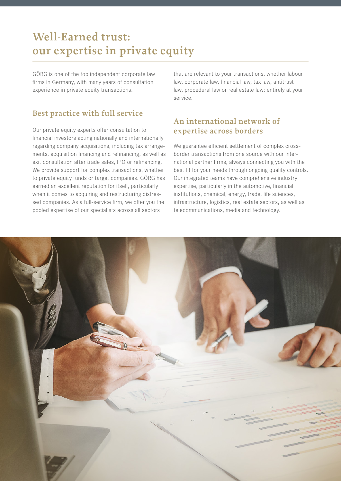## **Well-Earned trust: our expertise in private equity**

GÖRG is one of the top independent corporate law firms in Germany, with many years of consultation experience in private equity transactions.

#### **Best practice with full service**

Our private equity experts offer consultation to financial investors acting nationally and internationally regarding company acquisitions, including tax arrangements, acquisition financing and refinancing, as well as exit consultation after trade sales, IPO or refinancing. We provide support for complex transactions, whether to private equity funds or target companies. GÖRG has earned an excellent reputation for itself, particularly when it comes to acquiring and restructuring distressed companies. As a full-service firm, we offer you the pooled expertise of our specialists across all sectors

that are relevant to your transactions, whether labour law, corporate law, financial law, tax law, antitrust law, procedural law or real estate law: entirely at your service.

#### **An international network of expertise across borders**

We guarantee efficient settlement of complex crossborder transactions from one source with our international partner firms, always connecting you with the best fit for your needs through ongoing quality controls. Our integrated teams have comprehensive industry expertise, particularly in the automotive, financial institutions, chemical, energy, trade, life sciences, infrastructure, logistics, real estate sectors, as well as telecommunications, media and technology.

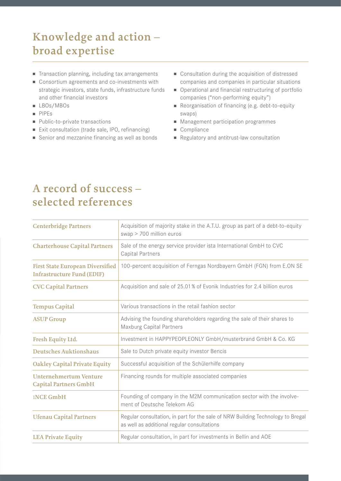# **Knowledge and action – broad expertise**

- Transaction planning, including tax arrangements
- Consortium agreements and co-investments with strategic investors, state funds, infrastructure funds and other financial investors
- LBOs/MBOs
- <sup>n</sup> PIPEs
- Public-to-private transactions
- Exit consultation (trade sale, IPO, refinancing)
- Senior and mezzanine financing as well as bonds
- Consultation during the acquisition of distressed companies and companies in particular situations
- Operational and financial restructuring of portfolio companies ("non-performing equity")
- Reorganisation of financing (e.g. debt-to-equity swaps)
- Management participation programmes
- Compliance
- Regulatory and antitrust-law consultation

### **A record of success – selected references**

| <b>Centerbridge Partners</b>                                                 | Acquisition of majority stake in the A.T.U. group as part of a debt-to-equity<br>swap > 700 million euros                      |
|------------------------------------------------------------------------------|--------------------------------------------------------------------------------------------------------------------------------|
| <b>Charterhouse Capital Partners</b>                                         | Sale of the energy service provider ista International GmbH to CVC<br>Capital Partners                                         |
| <b>First State European Diversified</b><br><b>Infrastructure Fund (EDIF)</b> | 100-percent acquisition of Ferngas Nordbayern GmbH (FGN) from E.ON SE                                                          |
| <b>CVC Capital Partners</b>                                                  | Acquisition and sale of 25.01 % of Evonik Industries for 2.4 billion euros                                                     |
| <b>Tempus Capital</b>                                                        | Various transactions in the retail fashion sector                                                                              |
| <b>ASUP Group</b>                                                            | Advising the founding shareholders regarding the sale of their shares to<br>Maxburg Capital Partners                           |
| Fresh Equity Ltd.                                                            | Investment in HAPPYPEOPLEONLY GmbH/musterbrand GmbH & Co. KG                                                                   |
| <b>Deutsches Auktionshaus</b>                                                | Sale to Dutch private equity investor Bencis                                                                                   |
| <b>Oakley Capital Private Equity</b>                                         | Successful acquisition of the Schülerhilfe company                                                                             |
| <b>Unternehmertum Venture</b><br><b>Capital Partners GmbH</b>                | Financing rounds for multiple associated companies                                                                             |
| <b>INCE GmbH</b>                                                             | Founding of company in the M2M communication sector with the involve-<br>ment of Deutsche Telekom AG                           |
| <b>Ufenau Capital Partners</b>                                               | Regular consultation, in part for the sale of NRW Building Technology to Bregal<br>as well as additional regular consultations |
| <b>LEA Private Equity</b>                                                    | Regular consultation, in part for investments in Bellin and AOE                                                                |